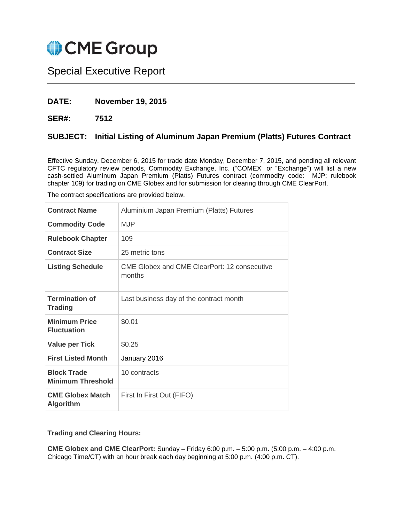

# Special Executive Report

### **DATE: November 19, 2015**

**SER#: 7512**

## **SUBJECT: Initial Listing of Aluminum Japan Premium (Platts) Futures Contract**

Effective Sunday, December 6, 2015 for trade date Monday, December 7, 2015, and pending all relevant CFTC regulatory review periods, Commodity Exchange, Inc. ("COMEX" or "Exchange") will list a new cash-settled Aluminum Japan Premium (Platts) Futures contract (commodity code: MJP; rulebook chapter 109) for trading on CME Globex and for submission for clearing through CME ClearPort.

| <b>Contract Name</b>                           | Aluminium Japan Premium (Platts) Futures                      |
|------------------------------------------------|---------------------------------------------------------------|
| <b>Commodity Code</b>                          | <b>MJP</b>                                                    |
| <b>Rulebook Chapter</b>                        | 109                                                           |
| <b>Contract Size</b>                           | 25 metric tons                                                |
| <b>Listing Schedule</b>                        | <b>CME Globex and CME ClearPort: 12 consecutive</b><br>months |
| <b>Termination of</b><br><b>Trading</b>        | Last business day of the contract month                       |
| <b>Minimum Price</b><br><b>Fluctuation</b>     | \$0.01                                                        |
| <b>Value per Tick</b>                          | \$0.25                                                        |
| <b>First Listed Month</b>                      | January 2016                                                  |
| <b>Block Trade</b><br><b>Minimum Threshold</b> | 10 contracts                                                  |
| <b>CME Globex Match</b><br><b>Algorithm</b>    | First In First Out (FIFO)                                     |

The contract specifications are provided below.

**Trading and Clearing Hours:**

**CME Globex and CME ClearPort:** Sunday – Friday 6:00 p.m. – 5:00 p.m. (5:00 p.m. – 4:00 p.m. Chicago Time/CT) with an hour break each day beginning at 5:00 p.m. (4:00 p.m. CT).